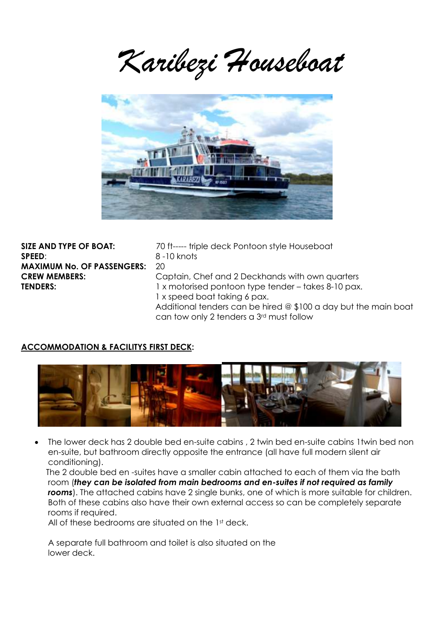*Karibezi Houseboat*



**SPEED**: 8 -10 knots **MAXIMUM No. OF PASSENGERS:** 20

**SIZE AND TYPE OF BOAT:** 70 ft----- triple deck Pontoon style Houseboat **CREW MEMBERS:** Captain, Chef and 2 Deckhands with own quarters **TENDERS:** 1 x motorised pontoon type tender – takes 8-10 pax. 1 x speed boat taking 6 pax. Additional tenders can be hired @ \$100 a day but the main boat can tow only 2 tenders a 3rd must follow

# **ACCOMMODATION & FACILITYS FIRST DECK:**



 The lower deck has 2 double bed en-suite cabins , 2 twin bed en-suite cabins 1twin bed non en-suite, but bathroom directly opposite the entrance (all have full modern silent air conditioning).

 The 2 double bed en -suites have a smaller cabin attached to each of them via the bath room (*they can be isolated from main bedrooms and en-suites if not required as family rooms*). The attached cabins have 2 single bunks, one of which is more suitable for children. Both of these cabins also have their own external access so can be completely separate rooms if required.

All of these bedrooms are situated on the 1<sup>st</sup> deck.

A separate full bathroom and toilet is also situated on the lower deck.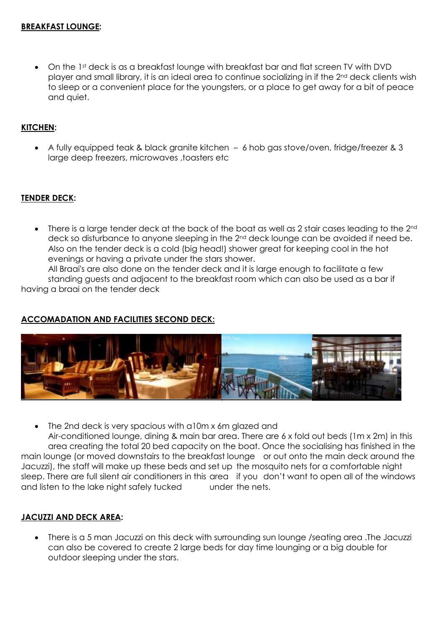• On the 1st deck is as a breakfast lounge with breakfast bar and flat screen TV with DVD player and small library, it is an ideal area to continue socializing in if the 2nd deck clients wish to sleep or a convenient place for the youngsters, or a place to get away for a bit of peace and quiet.

# **KITCHEN:**

 A fully equipped teak & black granite kitchen – 6 hob gas stove/oven, fridge/freezer & 3 large deep freezers, microwaves, toasters etc

#### **TENDER DECK:**

There is a large tender deck at the back of the boat as well as 2 stair cases leading to the 2<sup>nd</sup> deck so disturbance to anyone sleeping in the 2<sup>nd</sup> deck lounge can be avoided if need be. Also on the tender deck is a cold (big head!) shower great for keeping cool in the hot evenings or having a private under the stars shower.

All Braai's are also done on the tender deck and it is large enough to facilitate a few standing guests and adjacent to the breakfast room which can also be used as a bar if having a braai on the tender deck

### **ACCOMADATION AND FACILITIES SECOND DECK:**



The 2nd deck is very spacious with a10m x 6m glazed and

Air-conditioned lounge, dining & main bar area. There are 6 x fold out beds (1m x 2m) in this area creating the total 20 bed capacity on the boat. Once the socialising has finished in the main lounge (or moved downstairs to the breakfast lounge or out onto the main deck around the Jacuzzi), the staff will make up these beds and set up the mosquito nets for a comfortable night sleep. There are full silent air conditioners in this area if you don't want to open all of the windows and listen to the lake night safely tucked under the nets.

#### **JACUZZI AND DECK AREA:**

 There is a 5 man Jacuzzi on this deck with surrounding sun lounge /seating area .The Jacuzzi can also be covered to create 2 large beds for day time lounging or a big double for outdoor sleeping under the stars.